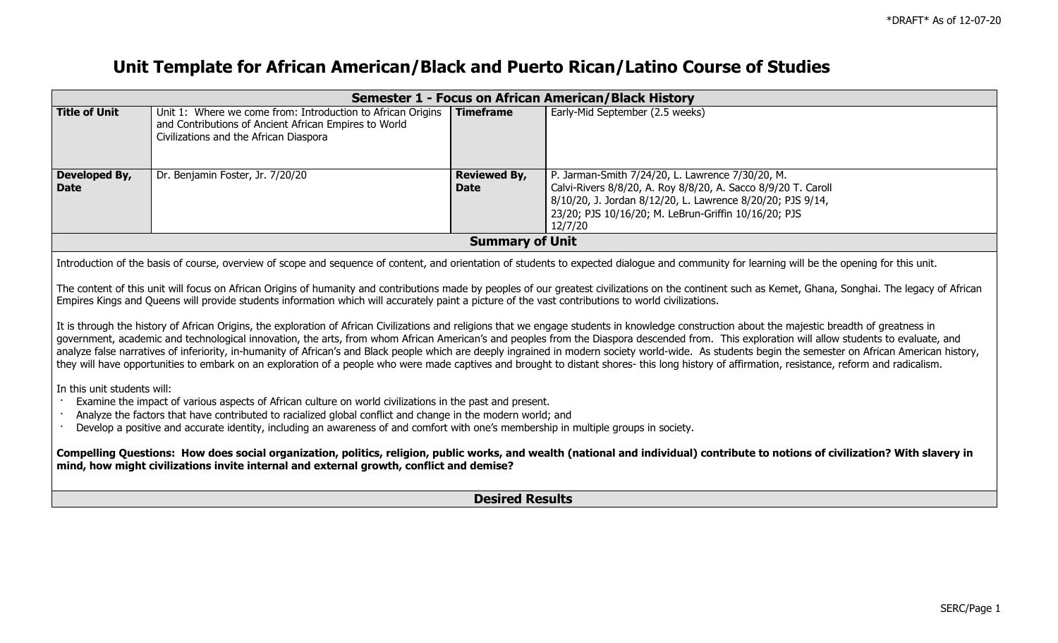## **Unit Template for African American/Black and Puerto Rican/Latino Course of Studies**

| Semester 1 - Focus on African American/Black History                                                                                                                                                                                                                                                                                                                                                                                                                                                                                                                                                                                                                                                                                                                                                                                                                                                                                                                                                                                                                                                                                                                                                                                                                                                                                                                                                                                                                                                                                                                                                                                                                                                                                                                                   |                                                                                                                                                                |                                    |                                                                                                                                                                                                                                                    |  |
|----------------------------------------------------------------------------------------------------------------------------------------------------------------------------------------------------------------------------------------------------------------------------------------------------------------------------------------------------------------------------------------------------------------------------------------------------------------------------------------------------------------------------------------------------------------------------------------------------------------------------------------------------------------------------------------------------------------------------------------------------------------------------------------------------------------------------------------------------------------------------------------------------------------------------------------------------------------------------------------------------------------------------------------------------------------------------------------------------------------------------------------------------------------------------------------------------------------------------------------------------------------------------------------------------------------------------------------------------------------------------------------------------------------------------------------------------------------------------------------------------------------------------------------------------------------------------------------------------------------------------------------------------------------------------------------------------------------------------------------------------------------------------------------|----------------------------------------------------------------------------------------------------------------------------------------------------------------|------------------------------------|----------------------------------------------------------------------------------------------------------------------------------------------------------------------------------------------------------------------------------------------------|--|
| <b>Title of Unit</b>                                                                                                                                                                                                                                                                                                                                                                                                                                                                                                                                                                                                                                                                                                                                                                                                                                                                                                                                                                                                                                                                                                                                                                                                                                                                                                                                                                                                                                                                                                                                                                                                                                                                                                                                                                   | Unit 1: Where we come from: Introduction to African Origins<br>and Contributions of Ancient African Empires to World<br>Civilizations and the African Diaspora | <b>Timeframe</b>                   | Early-Mid September (2.5 weeks)                                                                                                                                                                                                                    |  |
| Developed By,<br><b>Date</b>                                                                                                                                                                                                                                                                                                                                                                                                                                                                                                                                                                                                                                                                                                                                                                                                                                                                                                                                                                                                                                                                                                                                                                                                                                                                                                                                                                                                                                                                                                                                                                                                                                                                                                                                                           | Dr. Benjamin Foster, Jr. 7/20/20                                                                                                                               | <b>Reviewed By,</b><br><b>Date</b> | P. Jarman-Smith 7/24/20, L. Lawrence 7/30/20, M.<br>Calvi-Rivers 8/8/20, A. Roy 8/8/20, A. Sacco 8/9/20 T. Caroll<br>8/10/20, J. Jordan 8/12/20, L. Lawrence 8/20/20; PJS 9/14,<br>23/20; PJS 10/16/20; M. LeBrun-Griffin 10/16/20; PJS<br>12/7/20 |  |
|                                                                                                                                                                                                                                                                                                                                                                                                                                                                                                                                                                                                                                                                                                                                                                                                                                                                                                                                                                                                                                                                                                                                                                                                                                                                                                                                                                                                                                                                                                                                                                                                                                                                                                                                                                                        |                                                                                                                                                                | <b>Summary of Unit</b>             |                                                                                                                                                                                                                                                    |  |
| Introduction of the basis of course, overview of scope and sequence of content, and orientation of students to expected dialogue and community for learning will be the opening for this unit.<br>The content of this unit will focus on African Origins of humanity and contributions made by peoples of our greatest civilizations on the continent such as Kemet, Ghana, Songhai. The legacy of African<br>Empires Kings and Queens will provide students information which will accurately paint a picture of the vast contributions to world civilizations.<br>It is through the history of African Origins, the exploration of African Civilizations and religions that we engage students in knowledge construction about the majestic breadth of greatness in<br>government, academic and technological innovation, the arts, from whom African American's and peoples from the Diaspora descended from. This exploration will allow students to evaluate, and<br>analyze false narratives of inferiority, in-humanity of African's and Black people which are deeply ingrained in modern society world-wide. As students begin the semester on African American history,<br>they will have opportunities to embark on an exploration of a people who were made captives and brought to distant shores- this long history of affirmation, resistance, reform and radicalism.<br>In this unit students will:<br>Examine the impact of various aspects of African culture on world civilizations in the past and present.<br>Analyze the factors that have contributed to racialized global conflict and change in the modern world; and<br>Develop a positive and accurate identity, including an awareness of and comfort with one's membership in multiple groups in society. |                                                                                                                                                                |                                    |                                                                                                                                                                                                                                                    |  |
| Compelling Questions: How does social organization, politics, religion, public works, and wealth (national and individual) contribute to notions of civilization? With slavery in<br>mind, how might civilizations invite internal and external growth, conflict and demise?                                                                                                                                                                                                                                                                                                                                                                                                                                                                                                                                                                                                                                                                                                                                                                                                                                                                                                                                                                                                                                                                                                                                                                                                                                                                                                                                                                                                                                                                                                           |                                                                                                                                                                |                                    |                                                                                                                                                                                                                                                    |  |
|                                                                                                                                                                                                                                                                                                                                                                                                                                                                                                                                                                                                                                                                                                                                                                                                                                                                                                                                                                                                                                                                                                                                                                                                                                                                                                                                                                                                                                                                                                                                                                                                                                                                                                                                                                                        |                                                                                                                                                                | <b>Desired Results</b>             |                                                                                                                                                                                                                                                    |  |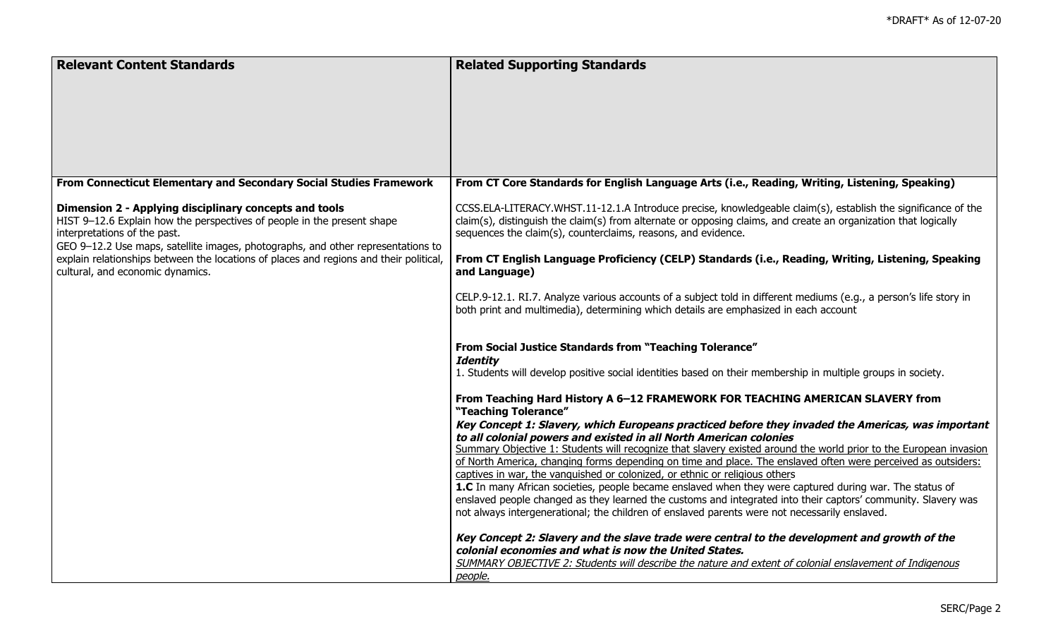| From Connecticut Elementary and Secondary Social Studies Framework<br>From CT Core Standards for English Language Arts (i.e., Reading, Writing, Listening, Speaking)<br>Dimension 2 - Applying disciplinary concepts and tools<br>CCSS.ELA-LITERACY.WHST.11-12.1.A Introduce precise, knowledgeable claim(s), establish the significance of the<br>HIST 9-12.6 Explain how the perspectives of people in the present shape<br>claim(s), distinguish the claim(s) from alternate or opposing claims, and create an organization that logically<br>interpretations of the past.<br>sequences the claim(s), counterclaims, reasons, and evidence.<br>GEO 9-12.2 Use maps, satellite images, photographs, and other representations to<br>explain relationships between the locations of places and regions and their political,<br>From CT English Language Proficiency (CELP) Standards (i.e., Reading, Writing, Listening, Speaking<br>cultural, and economic dynamics.<br>and Language)<br>CELP.9-12.1. RI.7. Analyze various accounts of a subject told in different mediums (e.g., a person's life story in<br>both print and multimedia), determining which details are emphasized in each account | <b>Relevant Content Standards</b> | <b>Related Supporting Standards</b> |
|-------------------------------------------------------------------------------------------------------------------------------------------------------------------------------------------------------------------------------------------------------------------------------------------------------------------------------------------------------------------------------------------------------------------------------------------------------------------------------------------------------------------------------------------------------------------------------------------------------------------------------------------------------------------------------------------------------------------------------------------------------------------------------------------------------------------------------------------------------------------------------------------------------------------------------------------------------------------------------------------------------------------------------------------------------------------------------------------------------------------------------------------------------------------------------------------------------|-----------------------------------|-------------------------------------|
|                                                                                                                                                                                                                                                                                                                                                                                                                                                                                                                                                                                                                                                                                                                                                                                                                                                                                                                                                                                                                                                                                                                                                                                                       |                                   |                                     |
|                                                                                                                                                                                                                                                                                                                                                                                                                                                                                                                                                                                                                                                                                                                                                                                                                                                                                                                                                                                                                                                                                                                                                                                                       |                                   |                                     |
|                                                                                                                                                                                                                                                                                                                                                                                                                                                                                                                                                                                                                                                                                                                                                                                                                                                                                                                                                                                                                                                                                                                                                                                                       |                                   |                                     |
|                                                                                                                                                                                                                                                                                                                                                                                                                                                                                                                                                                                                                                                                                                                                                                                                                                                                                                                                                                                                                                                                                                                                                                                                       |                                   |                                     |
|                                                                                                                                                                                                                                                                                                                                                                                                                                                                                                                                                                                                                                                                                                                                                                                                                                                                                                                                                                                                                                                                                                                                                                                                       |                                   |                                     |
|                                                                                                                                                                                                                                                                                                                                                                                                                                                                                                                                                                                                                                                                                                                                                                                                                                                                                                                                                                                                                                                                                                                                                                                                       |                                   |                                     |
|                                                                                                                                                                                                                                                                                                                                                                                                                                                                                                                                                                                                                                                                                                                                                                                                                                                                                                                                                                                                                                                                                                                                                                                                       |                                   |                                     |
|                                                                                                                                                                                                                                                                                                                                                                                                                                                                                                                                                                                                                                                                                                                                                                                                                                                                                                                                                                                                                                                                                                                                                                                                       |                                   |                                     |
|                                                                                                                                                                                                                                                                                                                                                                                                                                                                                                                                                                                                                                                                                                                                                                                                                                                                                                                                                                                                                                                                                                                                                                                                       |                                   |                                     |
|                                                                                                                                                                                                                                                                                                                                                                                                                                                                                                                                                                                                                                                                                                                                                                                                                                                                                                                                                                                                                                                                                                                                                                                                       |                                   |                                     |
|                                                                                                                                                                                                                                                                                                                                                                                                                                                                                                                                                                                                                                                                                                                                                                                                                                                                                                                                                                                                                                                                                                                                                                                                       |                                   |                                     |
|                                                                                                                                                                                                                                                                                                                                                                                                                                                                                                                                                                                                                                                                                                                                                                                                                                                                                                                                                                                                                                                                                                                                                                                                       |                                   |                                     |
|                                                                                                                                                                                                                                                                                                                                                                                                                                                                                                                                                                                                                                                                                                                                                                                                                                                                                                                                                                                                                                                                                                                                                                                                       |                                   |                                     |
|                                                                                                                                                                                                                                                                                                                                                                                                                                                                                                                                                                                                                                                                                                                                                                                                                                                                                                                                                                                                                                                                                                                                                                                                       |                                   |                                     |
|                                                                                                                                                                                                                                                                                                                                                                                                                                                                                                                                                                                                                                                                                                                                                                                                                                                                                                                                                                                                                                                                                                                                                                                                       |                                   |                                     |
|                                                                                                                                                                                                                                                                                                                                                                                                                                                                                                                                                                                                                                                                                                                                                                                                                                                                                                                                                                                                                                                                                                                                                                                                       |                                   |                                     |
|                                                                                                                                                                                                                                                                                                                                                                                                                                                                                                                                                                                                                                                                                                                                                                                                                                                                                                                                                                                                                                                                                                                                                                                                       |                                   |                                     |
|                                                                                                                                                                                                                                                                                                                                                                                                                                                                                                                                                                                                                                                                                                                                                                                                                                                                                                                                                                                                                                                                                                                                                                                                       |                                   |                                     |
|                                                                                                                                                                                                                                                                                                                                                                                                                                                                                                                                                                                                                                                                                                                                                                                                                                                                                                                                                                                                                                                                                                                                                                                                       |                                   |                                     |
| <b>From Social Justice Standards from "Teaching Tolerance"</b>                                                                                                                                                                                                                                                                                                                                                                                                                                                                                                                                                                                                                                                                                                                                                                                                                                                                                                                                                                                                                                                                                                                                        |                                   |                                     |
| <b>Identity</b>                                                                                                                                                                                                                                                                                                                                                                                                                                                                                                                                                                                                                                                                                                                                                                                                                                                                                                                                                                                                                                                                                                                                                                                       |                                   |                                     |
| 1. Students will develop positive social identities based on their membership in multiple groups in society.                                                                                                                                                                                                                                                                                                                                                                                                                                                                                                                                                                                                                                                                                                                                                                                                                                                                                                                                                                                                                                                                                          |                                   |                                     |
|                                                                                                                                                                                                                                                                                                                                                                                                                                                                                                                                                                                                                                                                                                                                                                                                                                                                                                                                                                                                                                                                                                                                                                                                       |                                   |                                     |
| From Teaching Hard History A 6-12 FRAMEWORK FOR TEACHING AMERICAN SLAVERY from                                                                                                                                                                                                                                                                                                                                                                                                                                                                                                                                                                                                                                                                                                                                                                                                                                                                                                                                                                                                                                                                                                                        |                                   |                                     |
| "Teaching Tolerance"                                                                                                                                                                                                                                                                                                                                                                                                                                                                                                                                                                                                                                                                                                                                                                                                                                                                                                                                                                                                                                                                                                                                                                                  |                                   |                                     |
| Key Concept 1: Slavery, which Europeans practiced before they invaded the Americas, was important<br>to all colonial powers and existed in all North American colonies                                                                                                                                                                                                                                                                                                                                                                                                                                                                                                                                                                                                                                                                                                                                                                                                                                                                                                                                                                                                                                |                                   |                                     |
| Summary Objective 1: Students will recognize that slavery existed around the world prior to the European invasion                                                                                                                                                                                                                                                                                                                                                                                                                                                                                                                                                                                                                                                                                                                                                                                                                                                                                                                                                                                                                                                                                     |                                   |                                     |
| of North America, changing forms depending on time and place. The enslaved often were perceived as outsiders:                                                                                                                                                                                                                                                                                                                                                                                                                                                                                                                                                                                                                                                                                                                                                                                                                                                                                                                                                                                                                                                                                         |                                   |                                     |
| captives in war, the vanguished or colonized, or ethnic or religious others                                                                                                                                                                                                                                                                                                                                                                                                                                                                                                                                                                                                                                                                                                                                                                                                                                                                                                                                                                                                                                                                                                                           |                                   |                                     |
| 1.C In many African societies, people became enslaved when they were captured during war. The status of                                                                                                                                                                                                                                                                                                                                                                                                                                                                                                                                                                                                                                                                                                                                                                                                                                                                                                                                                                                                                                                                                               |                                   |                                     |
| enslaved people changed as they learned the customs and integrated into their captors' community. Slavery was                                                                                                                                                                                                                                                                                                                                                                                                                                                                                                                                                                                                                                                                                                                                                                                                                                                                                                                                                                                                                                                                                         |                                   |                                     |
| not always intergenerational; the children of enslaved parents were not necessarily enslaved.                                                                                                                                                                                                                                                                                                                                                                                                                                                                                                                                                                                                                                                                                                                                                                                                                                                                                                                                                                                                                                                                                                         |                                   |                                     |
|                                                                                                                                                                                                                                                                                                                                                                                                                                                                                                                                                                                                                                                                                                                                                                                                                                                                                                                                                                                                                                                                                                                                                                                                       |                                   |                                     |
| Key Concept 2: Slavery and the slave trade were central to the development and growth of the                                                                                                                                                                                                                                                                                                                                                                                                                                                                                                                                                                                                                                                                                                                                                                                                                                                                                                                                                                                                                                                                                                          |                                   |                                     |
| colonial economies and what is now the United States.<br>SUMMARY OBJECTIVE 2: Students will describe the nature and extent of colonial enslavement of Indigenous                                                                                                                                                                                                                                                                                                                                                                                                                                                                                                                                                                                                                                                                                                                                                                                                                                                                                                                                                                                                                                      |                                   |                                     |
| people.                                                                                                                                                                                                                                                                                                                                                                                                                                                                                                                                                                                                                                                                                                                                                                                                                                                                                                                                                                                                                                                                                                                                                                                               |                                   |                                     |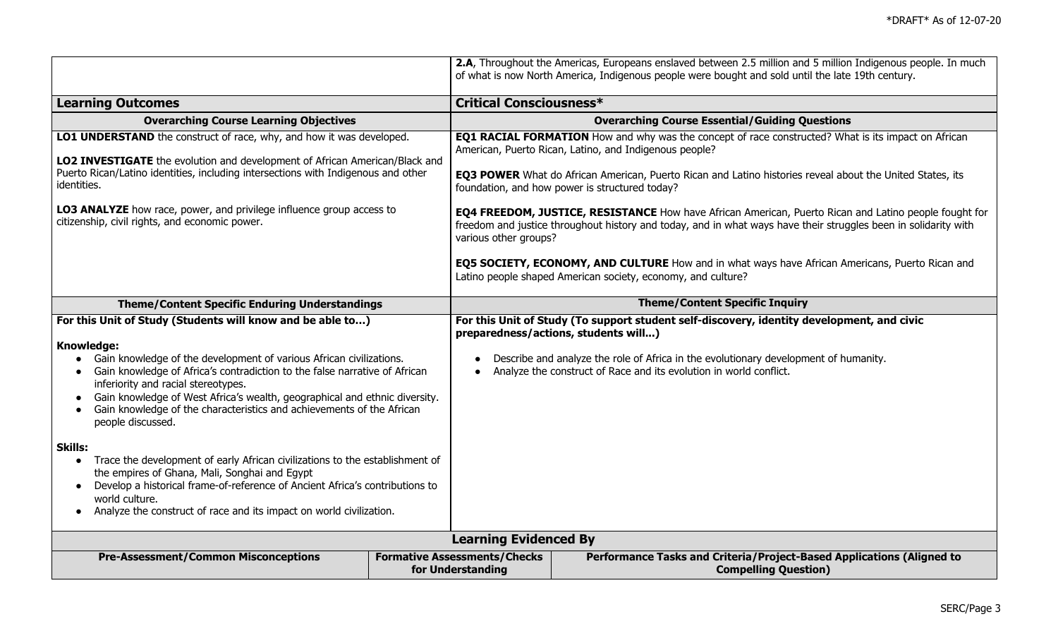|                                                                                                                                                                                                                                                                                                                                                                                                                                                                                                                                                                                                                                                                                                                                                                                           |                                                          | 2.A, Throughout the Americas, Europeans enslaved between 2.5 million and 5 million Indigenous people. In much<br>of what is now North America, Indigenous people were bought and sold until the late 19th century.                                                                                                                                                                                                   |  |  |
|-------------------------------------------------------------------------------------------------------------------------------------------------------------------------------------------------------------------------------------------------------------------------------------------------------------------------------------------------------------------------------------------------------------------------------------------------------------------------------------------------------------------------------------------------------------------------------------------------------------------------------------------------------------------------------------------------------------------------------------------------------------------------------------------|----------------------------------------------------------|----------------------------------------------------------------------------------------------------------------------------------------------------------------------------------------------------------------------------------------------------------------------------------------------------------------------------------------------------------------------------------------------------------------------|--|--|
| <b>Learning Outcomes</b>                                                                                                                                                                                                                                                                                                                                                                                                                                                                                                                                                                                                                                                                                                                                                                  |                                                          | <b>Critical Consciousness*</b>                                                                                                                                                                                                                                                                                                                                                                                       |  |  |
| <b>Overarching Course Learning Objectives</b>                                                                                                                                                                                                                                                                                                                                                                                                                                                                                                                                                                                                                                                                                                                                             |                                                          | <b>Overarching Course Essential/Guiding Questions</b>                                                                                                                                                                                                                                                                                                                                                                |  |  |
| LO1 UNDERSTAND the construct of race, why, and how it was developed.<br>LO2 INVESTIGATE the evolution and development of African American/Black and<br>Puerto Rican/Latino identities, including intersections with Indigenous and other<br>identities.                                                                                                                                                                                                                                                                                                                                                                                                                                                                                                                                   |                                                          | <b>EQ1 RACIAL FORMATION</b> How and why was the concept of race constructed? What is its impact on African<br>American, Puerto Rican, Latino, and Indigenous people?<br>EQ3 POWER What do African American, Puerto Rican and Latino histories reveal about the United States, its<br>foundation, and how power is structured today?                                                                                  |  |  |
| LO3 ANALYZE how race, power, and privilege influence group access to<br>citizenship, civil rights, and economic power.                                                                                                                                                                                                                                                                                                                                                                                                                                                                                                                                                                                                                                                                    |                                                          | EQ4 FREEDOM, JUSTICE, RESISTANCE How have African American, Puerto Rican and Latino people fought for<br>freedom and justice throughout history and today, and in what ways have their struggles been in solidarity with<br>various other groups?<br>EQ5 SOCIETY, ECONOMY, AND CULTURE How and in what ways have African Americans, Puerto Rican and<br>Latino people shaped American society, economy, and culture? |  |  |
| <b>Theme/Content Specific Enduring Understandings</b>                                                                                                                                                                                                                                                                                                                                                                                                                                                                                                                                                                                                                                                                                                                                     |                                                          | <b>Theme/Content Specific Inquiry</b>                                                                                                                                                                                                                                                                                                                                                                                |  |  |
| For this Unit of Study (Students will know and be able to)<br>Knowledge:<br>Gain knowledge of the development of various African civilizations.<br>Gain knowledge of Africa's contradiction to the false narrative of African<br>inferiority and racial stereotypes.<br>Gain knowledge of West Africa's wealth, geographical and ethnic diversity.<br>Gain knowledge of the characteristics and achievements of the African<br>people discussed.<br><b>Skills:</b><br>Trace the development of early African civilizations to the establishment of<br>$\bullet$<br>the empires of Ghana, Mali, Songhai and Egypt<br>Develop a historical frame-of-reference of Ancient Africa's contributions to<br>world culture.<br>Analyze the construct of race and its impact on world civilization. |                                                          | For this Unit of Study (To support student self-discovery, identity development, and civic<br>preparedness/actions, students will)<br>Describe and analyze the role of Africa in the evolutionary development of humanity.<br>Analyze the construct of Race and its evolution in world conflict.                                                                                                                     |  |  |
|                                                                                                                                                                                                                                                                                                                                                                                                                                                                                                                                                                                                                                                                                                                                                                                           | <b>Learning Evidenced By</b>                             |                                                                                                                                                                                                                                                                                                                                                                                                                      |  |  |
| <b>Pre-Assessment/Common Misconceptions</b>                                                                                                                                                                                                                                                                                                                                                                                                                                                                                                                                                                                                                                                                                                                                               | <b>Formative Assessments/Checks</b><br>for Understanding | Performance Tasks and Criteria/Project-Based Applications (Aligned to<br><b>Compelling Question)</b>                                                                                                                                                                                                                                                                                                                 |  |  |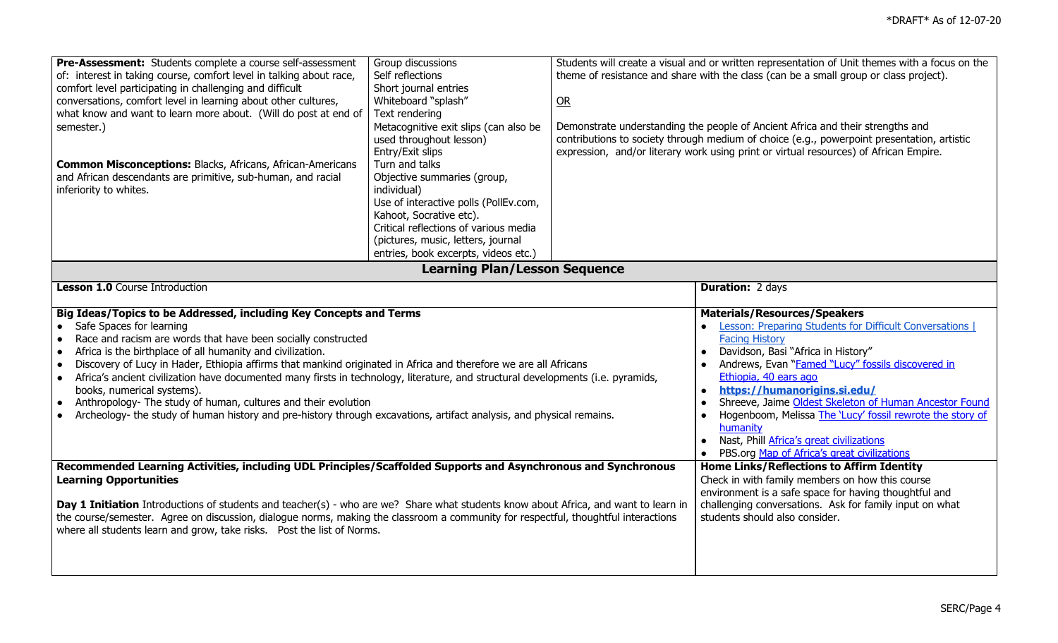| Pre-Assessment: Students complete a course self-assessment                                                                                                                                                                                                                                                                                                                                                                                                                                                                                                                                                                                                                                                                                                                                  | Group discussions                     |                                                                                                                                 | Students will create a visual and or written representation of Unit themes with a focus on the                                                                                                                                                                                                                                                                                                                        |
|---------------------------------------------------------------------------------------------------------------------------------------------------------------------------------------------------------------------------------------------------------------------------------------------------------------------------------------------------------------------------------------------------------------------------------------------------------------------------------------------------------------------------------------------------------------------------------------------------------------------------------------------------------------------------------------------------------------------------------------------------------------------------------------------|---------------------------------------|---------------------------------------------------------------------------------------------------------------------------------|-----------------------------------------------------------------------------------------------------------------------------------------------------------------------------------------------------------------------------------------------------------------------------------------------------------------------------------------------------------------------------------------------------------------------|
| of: interest in taking course, comfort level in talking about race,                                                                                                                                                                                                                                                                                                                                                                                                                                                                                                                                                                                                                                                                                                                         | Self reflections                      |                                                                                                                                 | theme of resistance and share with the class (can be a small group or class project).                                                                                                                                                                                                                                                                                                                                 |
| comfort level participating in challenging and difficult                                                                                                                                                                                                                                                                                                                                                                                                                                                                                                                                                                                                                                                                                                                                    | Short journal entries                 |                                                                                                                                 |                                                                                                                                                                                                                                                                                                                                                                                                                       |
| conversations, comfort level in learning about other cultures,                                                                                                                                                                                                                                                                                                                                                                                                                                                                                                                                                                                                                                                                                                                              | Whiteboard "splash"                   | QR                                                                                                                              |                                                                                                                                                                                                                                                                                                                                                                                                                       |
| what know and want to learn more about. (Will do post at end of                                                                                                                                                                                                                                                                                                                                                                                                                                                                                                                                                                                                                                                                                                                             | Text rendering                        |                                                                                                                                 |                                                                                                                                                                                                                                                                                                                                                                                                                       |
| semester.)                                                                                                                                                                                                                                                                                                                                                                                                                                                                                                                                                                                                                                                                                                                                                                                  | Metacognitive exit slips (can also be |                                                                                                                                 | Demonstrate understanding the people of Ancient Africa and their strengths and                                                                                                                                                                                                                                                                                                                                        |
|                                                                                                                                                                                                                                                                                                                                                                                                                                                                                                                                                                                                                                                                                                                                                                                             | used throughout lesson)               |                                                                                                                                 | contributions to society through medium of choice (e.g., powerpoint presentation, artistic                                                                                                                                                                                                                                                                                                                            |
|                                                                                                                                                                                                                                                                                                                                                                                                                                                                                                                                                                                                                                                                                                                                                                                             | Entry/Exit slips                      |                                                                                                                                 | expression, and/or literary work using print or virtual resources) of African Empire.                                                                                                                                                                                                                                                                                                                                 |
| <b>Common Misconceptions: Blacks, Africans, African-Americans</b>                                                                                                                                                                                                                                                                                                                                                                                                                                                                                                                                                                                                                                                                                                                           | Turn and talks                        |                                                                                                                                 |                                                                                                                                                                                                                                                                                                                                                                                                                       |
| and African descendants are primitive, sub-human, and racial                                                                                                                                                                                                                                                                                                                                                                                                                                                                                                                                                                                                                                                                                                                                | Objective summaries (group,           |                                                                                                                                 |                                                                                                                                                                                                                                                                                                                                                                                                                       |
| inferiority to whites.                                                                                                                                                                                                                                                                                                                                                                                                                                                                                                                                                                                                                                                                                                                                                                      | individual)                           |                                                                                                                                 |                                                                                                                                                                                                                                                                                                                                                                                                                       |
|                                                                                                                                                                                                                                                                                                                                                                                                                                                                                                                                                                                                                                                                                                                                                                                             | Use of interactive polls (PollEv.com, |                                                                                                                                 |                                                                                                                                                                                                                                                                                                                                                                                                                       |
|                                                                                                                                                                                                                                                                                                                                                                                                                                                                                                                                                                                                                                                                                                                                                                                             | Kahoot, Socrative etc).               |                                                                                                                                 |                                                                                                                                                                                                                                                                                                                                                                                                                       |
|                                                                                                                                                                                                                                                                                                                                                                                                                                                                                                                                                                                                                                                                                                                                                                                             | Critical reflections of various media |                                                                                                                                 |                                                                                                                                                                                                                                                                                                                                                                                                                       |
|                                                                                                                                                                                                                                                                                                                                                                                                                                                                                                                                                                                                                                                                                                                                                                                             | (pictures, music, letters, journal    |                                                                                                                                 |                                                                                                                                                                                                                                                                                                                                                                                                                       |
|                                                                                                                                                                                                                                                                                                                                                                                                                                                                                                                                                                                                                                                                                                                                                                                             | entries, book excerpts, videos etc.)  |                                                                                                                                 |                                                                                                                                                                                                                                                                                                                                                                                                                       |
| <b>Learning Plan/Lesson Sequence</b>                                                                                                                                                                                                                                                                                                                                                                                                                                                                                                                                                                                                                                                                                                                                                        |                                       |                                                                                                                                 |                                                                                                                                                                                                                                                                                                                                                                                                                       |
|                                                                                                                                                                                                                                                                                                                                                                                                                                                                                                                                                                                                                                                                                                                                                                                             |                                       |                                                                                                                                 |                                                                                                                                                                                                                                                                                                                                                                                                                       |
| <b>Lesson 1.0 Course Introduction</b>                                                                                                                                                                                                                                                                                                                                                                                                                                                                                                                                                                                                                                                                                                                                                       |                                       |                                                                                                                                 | <b>Duration: 2 days</b>                                                                                                                                                                                                                                                                                                                                                                                               |
| Big Ideas/Topics to be Addressed, including Key Concepts and Terms<br>Safe Spaces for learning<br>$\bullet$<br>Race and racism are words that have been socially constructed<br>$\bullet$<br>Africa is the birthplace of all humanity and civilization.<br>$\bullet$<br>Discovery of Lucy in Hader, Ethiopia affirms that mankind originated in Africa and therefore we are all Africans<br>$\bullet$<br>Africa's ancient civilization have documented many firsts in technology, literature, and structural developments (i.e. pyramids,<br>$\bullet$<br>books, numerical systems).<br>Anthropology- The study of human, cultures and their evolution<br>$\bullet$<br>Archeology- the study of human history and pre-history through excavations, artifact analysis, and physical remains. |                                       | <b>Materials/Resources/Speakers</b><br><b>Lesson: Preparing Students for Difficult Conversations  </b><br><b>Facing History</b> |                                                                                                                                                                                                                                                                                                                                                                                                                       |
|                                                                                                                                                                                                                                                                                                                                                                                                                                                                                                                                                                                                                                                                                                                                                                                             |                                       |                                                                                                                                 | Davidson, Basi "Africa in History"<br>$\bullet$<br>Andrews, Evan "Famed "Lucy" fossils discovered in<br>Ethiopia, 40 ears ago<br>https://humanorigins.si.edu/<br>$\bullet$<br>Shreeve, Jaime Oldest Skeleton of Human Ancestor Found<br>Hogenboom, Melissa The 'Lucy' fossil rewrote the story of<br>humanity<br>Nast, Phill Africa's great civilizations<br>$\bullet$<br>PBS.org Map of Africa's great civilizations |
| Recommended Learning Activities, including UDL Principles/Scaffolded Supports and Asynchronous and Synchronous<br><b>Learning Opportunities</b>                                                                                                                                                                                                                                                                                                                                                                                                                                                                                                                                                                                                                                             |                                       |                                                                                                                                 | <b>Home Links/Reflections to Affirm Identity</b><br>Check in with family members on how this course                                                                                                                                                                                                                                                                                                                   |
|                                                                                                                                                                                                                                                                                                                                                                                                                                                                                                                                                                                                                                                                                                                                                                                             |                                       |                                                                                                                                 | environment is a safe space for having thoughtful and                                                                                                                                                                                                                                                                                                                                                                 |
| Day 1 Initiation Introductions of students and teacher(s) - who are we? Share what students know about Africa, and want to learn in                                                                                                                                                                                                                                                                                                                                                                                                                                                                                                                                                                                                                                                         |                                       |                                                                                                                                 | challenging conversations. Ask for family input on what                                                                                                                                                                                                                                                                                                                                                               |
| the course/semester. Agree on discussion, dialogue norms, making the classroom a community for respectful, thoughtful interactions                                                                                                                                                                                                                                                                                                                                                                                                                                                                                                                                                                                                                                                          |                                       |                                                                                                                                 | students should also consider.                                                                                                                                                                                                                                                                                                                                                                                        |
| where all students learn and grow, take risks.  Post the list of Norms.                                                                                                                                                                                                                                                                                                                                                                                                                                                                                                                                                                                                                                                                                                                     |                                       |                                                                                                                                 |                                                                                                                                                                                                                                                                                                                                                                                                                       |
|                                                                                                                                                                                                                                                                                                                                                                                                                                                                                                                                                                                                                                                                                                                                                                                             |                                       |                                                                                                                                 |                                                                                                                                                                                                                                                                                                                                                                                                                       |
|                                                                                                                                                                                                                                                                                                                                                                                                                                                                                                                                                                                                                                                                                                                                                                                             |                                       |                                                                                                                                 |                                                                                                                                                                                                                                                                                                                                                                                                                       |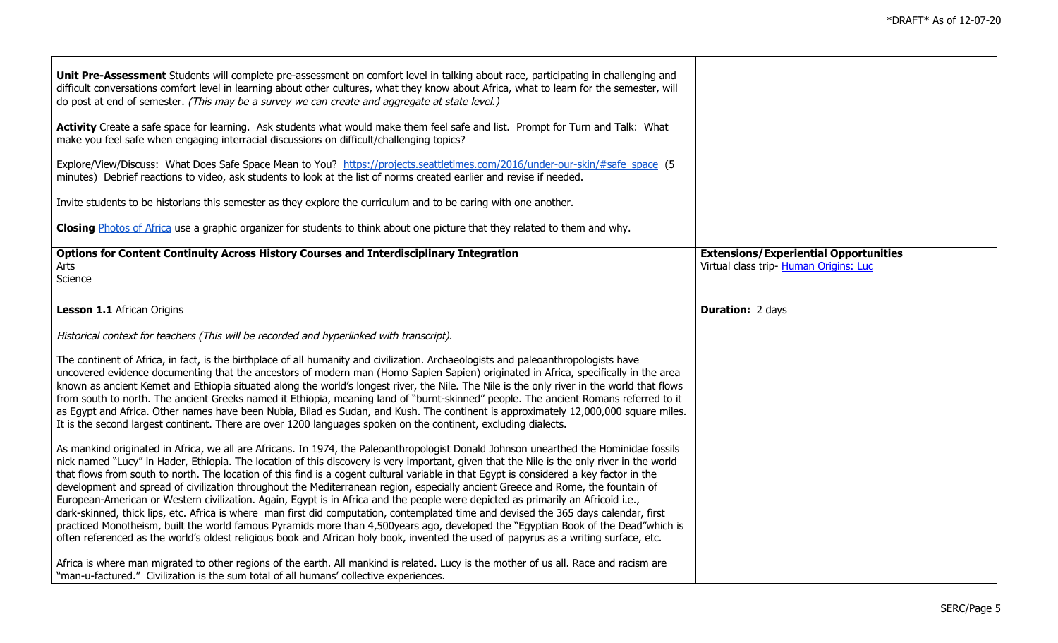| Unit Pre-Assessment Students will complete pre-assessment on comfort level in talking about race, participating in challenging and<br>difficult conversations comfort level in learning about other cultures, what they know about Africa, what to learn for the semester, will<br>do post at end of semester. (This may be a survey we can create and aggregate at state level.)                                                                                                                                                                                                                                                                                                                                                                                                                                                                                                                                                                                                                                                                                                                                          |                                                                                        |
|----------------------------------------------------------------------------------------------------------------------------------------------------------------------------------------------------------------------------------------------------------------------------------------------------------------------------------------------------------------------------------------------------------------------------------------------------------------------------------------------------------------------------------------------------------------------------------------------------------------------------------------------------------------------------------------------------------------------------------------------------------------------------------------------------------------------------------------------------------------------------------------------------------------------------------------------------------------------------------------------------------------------------------------------------------------------------------------------------------------------------|----------------------------------------------------------------------------------------|
| Activity Create a safe space for learning. Ask students what would make them feel safe and list. Prompt for Turn and Talk: What<br>make you feel safe when engaging interracial discussions on difficult/challenging topics?                                                                                                                                                                                                                                                                                                                                                                                                                                                                                                                                                                                                                                                                                                                                                                                                                                                                                               |                                                                                        |
| Explore/View/Discuss: What Does Safe Space Mean to You? https://projects.seattletimes.com/2016/under-our-skin/#safe_space (5<br>minutes) Debrief reactions to video, ask students to look at the list of norms created earlier and revise if needed.                                                                                                                                                                                                                                                                                                                                                                                                                                                                                                                                                                                                                                                                                                                                                                                                                                                                       |                                                                                        |
| Invite students to be historians this semester as they explore the curriculum and to be caring with one another.                                                                                                                                                                                                                                                                                                                                                                                                                                                                                                                                                                                                                                                                                                                                                                                                                                                                                                                                                                                                           |                                                                                        |
| Closing Photos of Africa use a graphic organizer for students to think about one picture that they related to them and why.                                                                                                                                                                                                                                                                                                                                                                                                                                                                                                                                                                                                                                                                                                                                                                                                                                                                                                                                                                                                |                                                                                        |
| <b>Options for Content Continuity Across History Courses and Interdisciplinary Integration</b><br>Arts<br>Science                                                                                                                                                                                                                                                                                                                                                                                                                                                                                                                                                                                                                                                                                                                                                                                                                                                                                                                                                                                                          | <b>Extensions/Experiential Opportunities</b><br>Virtual class trip- Human Origins: Luc |
| <b>Lesson 1.1 African Origins</b>                                                                                                                                                                                                                                                                                                                                                                                                                                                                                                                                                                                                                                                                                                                                                                                                                                                                                                                                                                                                                                                                                          | <b>Duration: 2 days</b>                                                                |
| Historical context for teachers (This will be recorded and hyperlinked with transcript).                                                                                                                                                                                                                                                                                                                                                                                                                                                                                                                                                                                                                                                                                                                                                                                                                                                                                                                                                                                                                                   |                                                                                        |
| The continent of Africa, in fact, is the birthplace of all humanity and civilization. Archaeologists and paleoanthropologists have<br>uncovered evidence documenting that the ancestors of modern man (Homo Sapien Sapien) originated in Africa, specifically in the area<br>known as ancient Kemet and Ethiopia situated along the world's longest river, the Nile. The Nile is the only river in the world that flows<br>from south to north. The ancient Greeks named it Ethiopia, meaning land of "burnt-skinned" people. The ancient Romans referred to it<br>as Egypt and Africa. Other names have been Nubia, Bilad es Sudan, and Kush. The continent is approximately 12,000,000 square miles.<br>It is the second largest continent. There are over 1200 languages spoken on the continent, excluding dialects.                                                                                                                                                                                                                                                                                                   |                                                                                        |
| As mankind originated in Africa, we all are Africans. In 1974, the Paleoanthropologist Donald Johnson unearthed the Hominidae fossils<br>nick named "Lucy" in Hader, Ethiopia. The location of this discovery is very important, given that the Nile is the only river in the world<br>that flows from south to north. The location of this find is a cogent cultural variable in that Egypt is considered a key factor in the<br>development and spread of civilization throughout the Mediterranean region, especially ancient Greece and Rome, the fountain of<br>European-American or Western civilization. Again, Egypt is in Africa and the people were depicted as primarily an Africoid i.e.,<br>dark-skinned, thick lips, etc. Africa is where man first did computation, contemplated time and devised the 365 days calendar, first<br>practiced Monotheism, built the world famous Pyramids more than 4,500years ago, developed the "Egyptian Book of the Dead"which is<br>often referenced as the world's oldest religious book and African holy book, invented the used of papyrus as a writing surface, etc. |                                                                                        |
| Africa is where man migrated to other regions of the earth. All mankind is related. Lucy is the mother of us all. Race and racism are<br>"man-u-factured." Civilization is the sum total of all humans' collective experiences.                                                                                                                                                                                                                                                                                                                                                                                                                                                                                                                                                                                                                                                                                                                                                                                                                                                                                            |                                                                                        |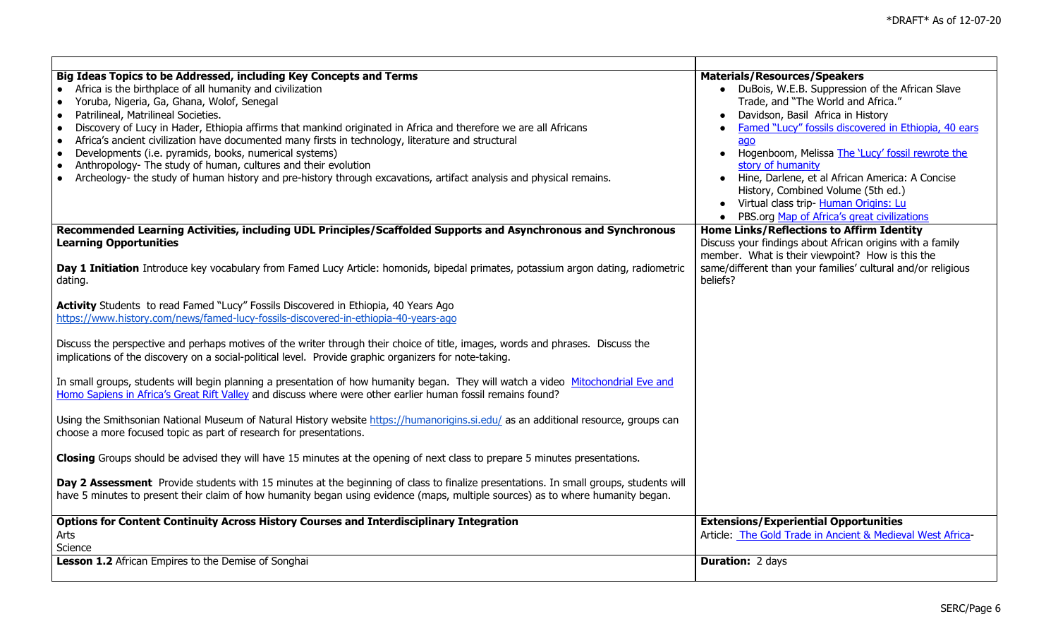| Big Ideas Topics to be Addressed, including Key Concepts and Terms<br>Africa is the birthplace of all humanity and civilization<br>Yoruba, Nigeria, Ga, Ghana, Wolof, Senegal<br>$\bullet$<br>Patrilineal, Matrilineal Societies.<br>$\bullet$<br>Discovery of Lucy in Hader, Ethiopia affirms that mankind originated in Africa and therefore we are all Africans<br>$\bullet$<br>Africa's ancient civilization have documented many firsts in technology, literature and structural<br>$\bullet$ | <b>Materials/Resources/Speakers</b><br>• DuBois, W.E.B. Suppression of the African Slave<br>Trade, and "The World and Africa."<br>Davidson, Basil Africa in History<br>Famed "Lucy" fossils discovered in Ethiopia, 40 ears<br>ago                             |
|----------------------------------------------------------------------------------------------------------------------------------------------------------------------------------------------------------------------------------------------------------------------------------------------------------------------------------------------------------------------------------------------------------------------------------------------------------------------------------------------------|----------------------------------------------------------------------------------------------------------------------------------------------------------------------------------------------------------------------------------------------------------------|
| Developments (i.e. pyramids, books, numerical systems)<br>$\bullet$<br>Anthropology- The study of human, cultures and their evolution<br>$\bullet$<br>Archeology- the study of human history and pre-history through excavations, artifact analysis and physical remains.<br>$\bullet$                                                                                                                                                                                                             | • Hogenboom, Melissa The 'Lucy' fossil rewrote the<br>story of humanity<br>• Hine, Darlene, et al African America: A Concise<br>History, Combined Volume (5th ed.)<br>• Virtual class trip- Human Origins: Lu<br>• PBS.org Map of Africa's great civilizations |
| Recommended Learning Activities, including UDL Principles/Scaffolded Supports and Asynchronous and Synchronous<br><b>Learning Opportunities</b>                                                                                                                                                                                                                                                                                                                                                    | <b>Home Links/Reflections to Affirm Identity</b><br>Discuss your findings about African origins with a family<br>member. What is their viewpoint? How is this the                                                                                              |
| Day 1 Initiation Introduce key vocabulary from Famed Lucy Article: homonids, bipedal primates, potassium argon dating, radiometric<br>dating.                                                                                                                                                                                                                                                                                                                                                      | same/different than your families' cultural and/or religious<br>beliefs?                                                                                                                                                                                       |
| Activity Students to read Famed "Lucy" Fossils Discovered in Ethiopia, 40 Years Ago<br>https://www.history.com/news/famed-lucy-fossils-discovered-in-ethiopia-40-years-ago                                                                                                                                                                                                                                                                                                                         |                                                                                                                                                                                                                                                                |
| Discuss the perspective and perhaps motives of the writer through their choice of title, images, words and phrases. Discuss the<br>implications of the discovery on a social-political level. Provide graphic organizers for note-taking.                                                                                                                                                                                                                                                          |                                                                                                                                                                                                                                                                |
| In small groups, students will begin planning a presentation of how humanity began. They will watch a video Mitochondrial Eve and<br>Homo Sapiens in Africa's Great Rift Valley and discuss where were other earlier human fossil remains found?                                                                                                                                                                                                                                                   |                                                                                                                                                                                                                                                                |
| Using the Smithsonian National Museum of Natural History website https://humanorigins.si.edu/ as an additional resource, groups can<br>choose a more focused topic as part of research for presentations.                                                                                                                                                                                                                                                                                          |                                                                                                                                                                                                                                                                |
| Closing Groups should be advised they will have 15 minutes at the opening of next class to prepare 5 minutes presentations.                                                                                                                                                                                                                                                                                                                                                                        |                                                                                                                                                                                                                                                                |
| Day 2 Assessment Provide students with 15 minutes at the beginning of class to finalize presentations. In small groups, students will<br>have 5 minutes to present their claim of how humanity began using evidence (maps, multiple sources) as to where humanity began.                                                                                                                                                                                                                           |                                                                                                                                                                                                                                                                |
| Options for Content Continuity Across History Courses and Interdisciplinary Integration<br>Arts<br>Science                                                                                                                                                                                                                                                                                                                                                                                         | <b>Extensions/Experiential Opportunities</b><br>Article: The Gold Trade in Ancient & Medieval West Africa-                                                                                                                                                     |
| <b>Lesson 1.2</b> African Empires to the Demise of Songhai                                                                                                                                                                                                                                                                                                                                                                                                                                         | <b>Duration: 2 days</b>                                                                                                                                                                                                                                        |

 $\mathbf{I}$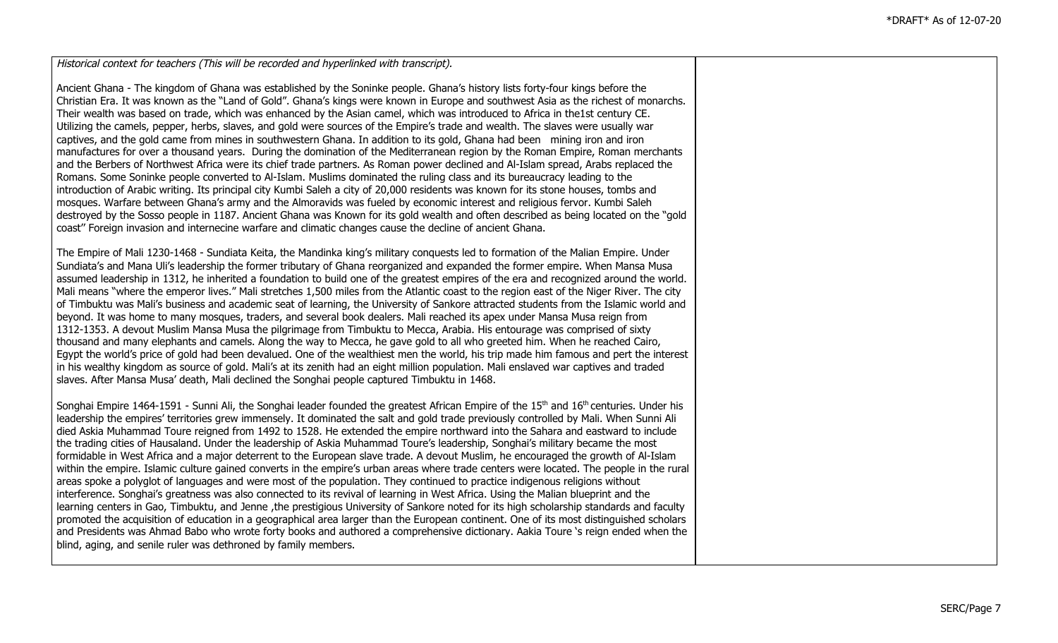Historical context for teachers (This will be recorded and hyperlinked with transcript).

Ancient Ghana - The kingdom of Ghana was established by the Soninke people. Ghana's history lists forty-four kings before the Christian Era. It was known as the "Land of Gold". Ghana's kings were known in Europe and southwest Asia as the richest of monarchs. Their wealth was based on trade, which was enhanced by the Asian camel, which was introduced to Africa in the1st century CE. Utilizing the camels, pepper, herbs, slaves, and gold were sources of the Empire's trade and wealth. The slaves were usually war captives, and the gold came from mines in southwestern Ghana. In addition to its gold, Ghana had been mining iron and iron manufactures for over a thousand years. During the domination of the Mediterranean region by the Roman Empire, Roman merchants and the Berbers of Northwest Africa were its chief trade partners. As Roman power declined and Al-Islam spread, Arabs replaced the Romans. Some Soninke people converted to Al-Islam. Muslims dominated the ruling class and its bureaucracy leading to the introduction of Arabic writing. Its principal city Kumbi Saleh a city of 20,000 residents was known for its stone houses, tombs and mosques. Warfare between Ghana's army and the Almoravids was fueled by economic interest and religious fervor. Kumbi Saleh destroyed by the Sosso people in 1187. Ancient Ghana was Known for its gold wealth and often described as being located on the "gold coast'' Foreign invasion and internecine warfare and climatic changes cause the decline of ancient Ghana.

The Empire of Mali 1230-1468 - Sundiata Keita, the Mandinka king's military conquests led to formation of the Malian Empire. Under Sundiata's and Mana Uli's leadership the former tributary of Ghana reorganized and expanded the former empire. When Mansa Musa assumed leadership in 1312, he inherited a foundation to build one of the greatest empires of the era and recognized around the world. Mali means "where the emperor lives." Mali stretches 1,500 miles from the Atlantic coast to the region east of the Niger River. The city of Timbuktu was Mali's business and academic seat of learning, the University of Sankore attracted students from the Islamic world and beyond. It was home to many mosques, traders, and several book dealers. Mali reached its apex under Mansa Musa reign from 1312-1353. A devout Muslim Mansa Musa the pilgrimage from Timbuktu to Mecca, Arabia. His entourage was comprised of sixty thousand and many elephants and camels. Along the way to Mecca, he gave gold to all who greeted him. When he reached Cairo, Egypt the world's price of gold had been devalued. One of the wealthiest men the world, his trip made him famous and pert the interest in his wealthy kingdom as source of gold. Mali's at its zenith had an eight million population. Mali enslaved war captives and traded slaves. After Mansa Musa' death, Mali declined the Songhai people captured Timbuktu in 1468.

Songhai Empire 1464-1591 - Sunni Ali, the Songhai leader founded the greatest African Empire of the 15<sup>th</sup> and 16<sup>th</sup> centuries. Under his leadership the empires' territories grew immensely. It dominated the salt and gold trade previously controlled by Mali. When Sunni Ali died Askia Muhammad Toure reigned from 1492 to 1528. He extended the empire northward into the Sahara and eastward to include the trading cities of Hausaland. Under the leadership of Askia Muhammad Toure's leadership, Songhai's military became the most formidable in West Africa and a major deterrent to the European slave trade. A devout Muslim, he encouraged the growth of Al-Islam within the empire. Islamic culture gained converts in the empire's urban areas where trade centers were located. The people in the rural areas spoke a polyglot of languages and were most of the population. They continued to practice indigenous religions without interference. Songhai's greatness was also connected to its revival of learning in West Africa. Using the Malian blueprint and the learning centers in Gao, Timbuktu, and Jenne ,the prestigious University of Sankore noted for its high scholarship standards and faculty promoted the acquisition of education in a geographical area larger than the European continent. One of its most distinguished scholars and Presidents was Ahmad Babo who wrote forty books and authored a comprehensive dictionary. Aakia Toure 's reign ended when the blind, aging, and senile ruler was dethroned by family members.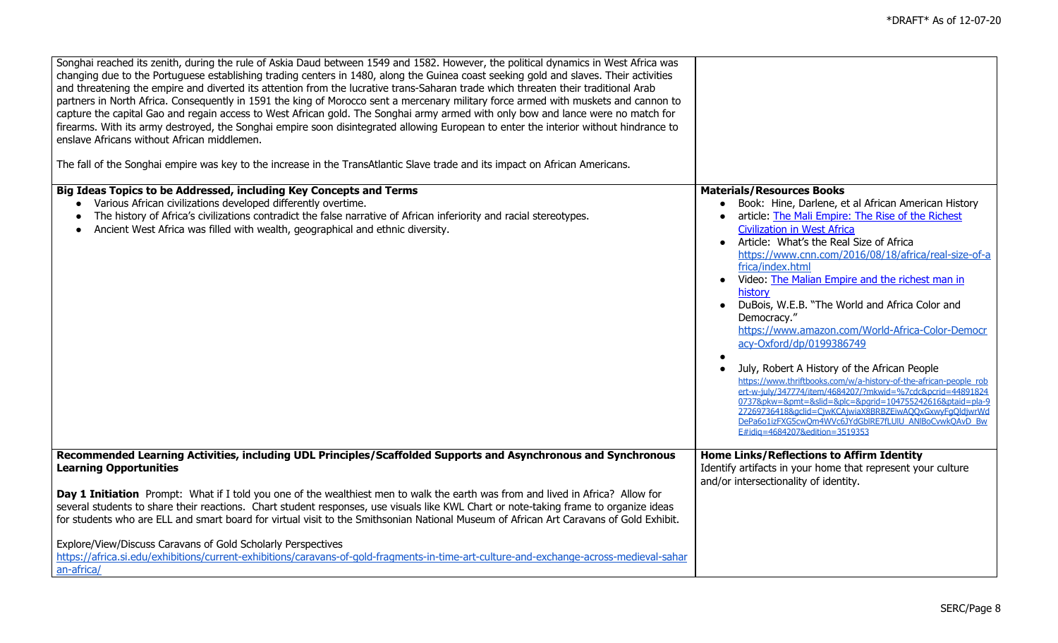| Songhai reached its zenith, during the rule of Askia Daud between 1549 and 1582. However, the political dynamics in West Africa was<br>changing due to the Portuguese establishing trading centers in 1480, along the Guinea coast seeking gold and slaves. Their activities<br>and threatening the empire and diverted its attention from the lucrative trans-Saharan trade which threaten their traditional Arab<br>partners in North Africa. Consequently in 1591 the king of Morocco sent a mercenary military force armed with muskets and cannon to<br>capture the capital Gao and regain access to West African gold. The Songhai army armed with only bow and lance were no match for<br>firearms. With its army destroyed, the Songhai empire soon disintegrated allowing European to enter the interior without hindrance to<br>enslave Africans without African middlemen.<br>The fall of the Songhai empire was key to the increase in the TransAtlantic Slave trade and its impact on African Americans. |                                                                                                                                                                                                                                                                                                                                                                                                                                                                                                                                                                                                                                                                                                                                                                                                                                                                                                                                   |
|-----------------------------------------------------------------------------------------------------------------------------------------------------------------------------------------------------------------------------------------------------------------------------------------------------------------------------------------------------------------------------------------------------------------------------------------------------------------------------------------------------------------------------------------------------------------------------------------------------------------------------------------------------------------------------------------------------------------------------------------------------------------------------------------------------------------------------------------------------------------------------------------------------------------------------------------------------------------------------------------------------------------------|-----------------------------------------------------------------------------------------------------------------------------------------------------------------------------------------------------------------------------------------------------------------------------------------------------------------------------------------------------------------------------------------------------------------------------------------------------------------------------------------------------------------------------------------------------------------------------------------------------------------------------------------------------------------------------------------------------------------------------------------------------------------------------------------------------------------------------------------------------------------------------------------------------------------------------------|
| Big Ideas Topics to be Addressed, including Key Concepts and Terms<br>Various African civilizations developed differently overtime.<br>The history of Africa's civilizations contradict the false narrative of African inferiority and racial stereotypes.<br>Ancient West Africa was filled with wealth, geographical and ethnic diversity.                                                                                                                                                                                                                                                                                                                                                                                                                                                                                                                                                                                                                                                                          | <b>Materials/Resources Books</b><br>Book: Hine, Darlene, et al African American History<br>article: The Mali Empire: The Rise of the Richest<br><b>Civilization in West Africa</b><br>• Article: What's the Real Size of Africa<br>https://www.cnn.com/2016/08/18/africa/real-size-of-a<br>frica/index.html<br>Video: The Malian Empire and the richest man in<br>history<br>• DuBois, W.E.B. "The World and Africa Color and<br>Democracy."<br>https://www.amazon.com/World-Africa-Color-Democr<br>acy-Oxford/dp/0199386749<br>July, Robert A History of the African People<br>https://www.thriftbooks.com/w/a-history-of-the-african-people_rob<br>ert-w-july/347774/jtem/4684207/?mkwid=%7cdc&pcrid=44891824<br>0737&pkw=&pmt=&slid=&plc=&parid=104755242616&ptaid=pla-9<br>27269736418&aclid=CiwKCAiwiaX8BRBZEiwAOOxGxwyFaOldiwrWd<br>DePa6o1izFXG5cwOm4WVc6JYdGblRE7fLUIU_ANIBoCvwkOAvD_Bw<br>E#idia=4684207&edition=3519353 |
| Recommended Learning Activities, including UDL Principles/Scaffolded Supports and Asynchronous and Synchronous<br><b>Learning Opportunities</b><br>Day 1 Initiation Prompt: What if I told you one of the wealthiest men to walk the earth was from and lived in Africa? Allow for<br>several students to share their reactions. Chart student responses, use visuals like KWL Chart or note-taking frame to organize ideas<br>for students who are ELL and smart board for virtual visit to the Smithsonian National Museum of African Art Caravans of Gold Exhibit.<br>Explore/View/Discuss Caravans of Gold Scholarly Perspectives                                                                                                                                                                                                                                                                                                                                                                                 | Home Links/Reflections to Affirm Identity<br>Identify artifacts in your home that represent your culture<br>and/or intersectionality of identity.                                                                                                                                                                                                                                                                                                                                                                                                                                                                                                                                                                                                                                                                                                                                                                                 |
| https://africa.si.edu/exhibitions/current-exhibitions/caravans-of-gold-fragments-in-time-art-culture-and-exchange-across-medieval-sahar<br>an-africa/                                                                                                                                                                                                                                                                                                                                                                                                                                                                                                                                                                                                                                                                                                                                                                                                                                                                 |                                                                                                                                                                                                                                                                                                                                                                                                                                                                                                                                                                                                                                                                                                                                                                                                                                                                                                                                   |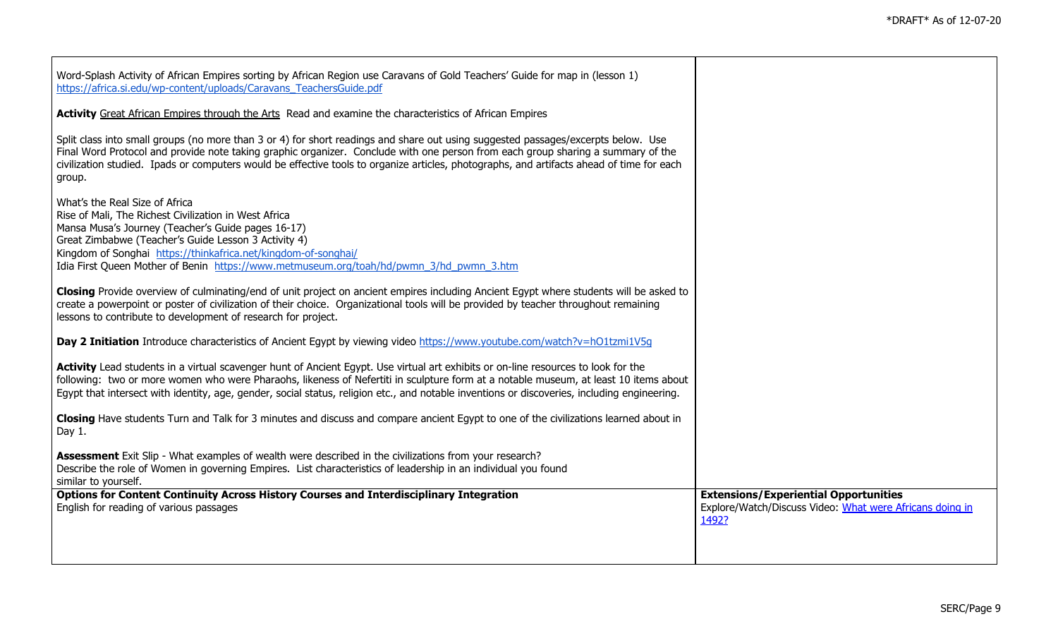┑

| Word-Splash Activity of African Empires sorting by African Region use Caravans of Gold Teachers' Guide for map in (lesson 1)<br>https://africa.si.edu/wp-content/uploads/Caravans TeachersGuide.pdf                                                                                                                                                                                                                          |                                                                                                                   |
|------------------------------------------------------------------------------------------------------------------------------------------------------------------------------------------------------------------------------------------------------------------------------------------------------------------------------------------------------------------------------------------------------------------------------|-------------------------------------------------------------------------------------------------------------------|
| Activity Great African Empires through the Arts Read and examine the characteristics of African Empires                                                                                                                                                                                                                                                                                                                      |                                                                                                                   |
| Split class into small groups (no more than 3 or 4) for short readings and share out using suggested passages/excerpts below. Use<br>Final Word Protocol and provide note taking graphic organizer. Conclude with one person from each group sharing a summary of the<br>civilization studied. Ipads or computers would be effective tools to organize articles, photographs, and artifacts ahead of time for each<br>group. |                                                                                                                   |
| What's the Real Size of Africa<br>Rise of Mali, The Richest Civilization in West Africa<br>Mansa Musa's Journey (Teacher's Guide pages 16-17)<br>Great Zimbabwe (Teacher's Guide Lesson 3 Activity 4)<br>Kingdom of Songhai https://thinkafrica.net/kingdom-of-songhai/<br>Idia First Queen Mother of Benin https://www.metmuseum.org/toah/hd/pwmn 3/hd pwmn 3.htm                                                           |                                                                                                                   |
| Closing Provide overview of culminating/end of unit project on ancient empires including Ancient Egypt where students will be asked to<br>create a powerpoint or poster of civilization of their choice. Organizational tools will be provided by teacher throughout remaining<br>lessons to contribute to development of research for project.                                                                              |                                                                                                                   |
| Day 2 Initiation Introduce characteristics of Ancient Egypt by viewing video https://www.youtube.com/watch?v=hO1tzmi1V5q                                                                                                                                                                                                                                                                                                     |                                                                                                                   |
| Activity Lead students in a virtual scavenger hunt of Ancient Egypt. Use virtual art exhibits or on-line resources to look for the<br>following: two or more women who were Pharaohs, likeness of Nefertiti in sculpture form at a notable museum, at least 10 items about<br>Egypt that intersect with identity, age, gender, social status, religion etc., and notable inventions or discoveries, including engineering.   |                                                                                                                   |
| Closing Have students Turn and Talk for 3 minutes and discuss and compare ancient Egypt to one of the civilizations learned about in<br>Day 1.                                                                                                                                                                                                                                                                               |                                                                                                                   |
| Assessment Exit Slip - What examples of wealth were described in the civilizations from your research?<br>Describe the role of Women in governing Empires. List characteristics of leadership in an individual you found<br>similar to yourself.                                                                                                                                                                             |                                                                                                                   |
| <b>Options for Content Continuity Across History Courses and Interdisciplinary Integration</b><br>English for reading of various passages                                                                                                                                                                                                                                                                                    | <b>Extensions/Experiential Opportunities</b><br>Explore/Watch/Discuss Video: What were Africans doing in<br>1492? |
|                                                                                                                                                                                                                                                                                                                                                                                                                              |                                                                                                                   |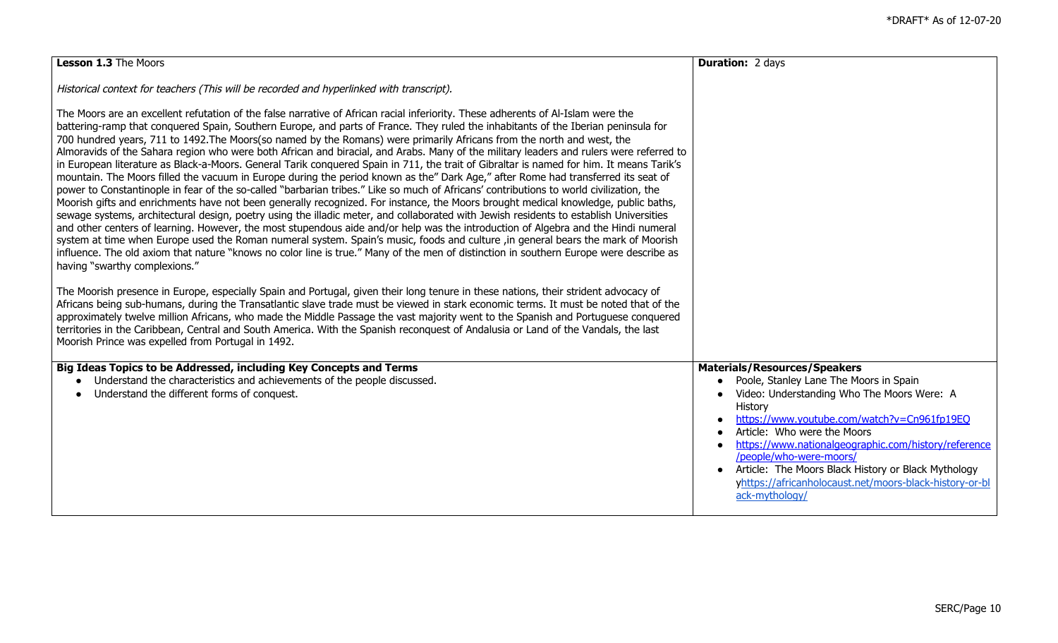| Lesson 1.3 The Moors                                                                                                                                                                                                                                                                                                                                                                                                                                                                                                                                                                                                                                                                                                                                                                                                                                                                                                                                                                                                                                                                                                                                                                                                                                                                                                                                                                                                                                                                                                                                                                                                                                                                                         | <b>Duration: 2 days</b>                                                                                                                                                                                                                                                                                                                                                                              |
|--------------------------------------------------------------------------------------------------------------------------------------------------------------------------------------------------------------------------------------------------------------------------------------------------------------------------------------------------------------------------------------------------------------------------------------------------------------------------------------------------------------------------------------------------------------------------------------------------------------------------------------------------------------------------------------------------------------------------------------------------------------------------------------------------------------------------------------------------------------------------------------------------------------------------------------------------------------------------------------------------------------------------------------------------------------------------------------------------------------------------------------------------------------------------------------------------------------------------------------------------------------------------------------------------------------------------------------------------------------------------------------------------------------------------------------------------------------------------------------------------------------------------------------------------------------------------------------------------------------------------------------------------------------------------------------------------------------|------------------------------------------------------------------------------------------------------------------------------------------------------------------------------------------------------------------------------------------------------------------------------------------------------------------------------------------------------------------------------------------------------|
| Historical context for teachers (This will be recorded and hyperlinked with transcript).                                                                                                                                                                                                                                                                                                                                                                                                                                                                                                                                                                                                                                                                                                                                                                                                                                                                                                                                                                                                                                                                                                                                                                                                                                                                                                                                                                                                                                                                                                                                                                                                                     |                                                                                                                                                                                                                                                                                                                                                                                                      |
| The Moors are an excellent refutation of the false narrative of African racial inferiority. These adherents of Al-Islam were the<br>battering-ramp that conquered Spain, Southern Europe, and parts of France. They ruled the inhabitants of the Iberian peninsula for<br>700 hundred years, 711 to 1492. The Moors(so named by the Romans) were primarily Africans from the north and west, the<br>Almoravids of the Sahara region who were both African and biracial, and Arabs. Many of the military leaders and rulers were referred to<br>in European literature as Black-a-Moors. General Tarik conquered Spain in 711, the trait of Gibraltar is named for him. It means Tarik's<br>mountain. The Moors filled the vacuum in Europe during the period known as the" Dark Age," after Rome had transferred its seat of<br>power to Constantinople in fear of the so-called "barbarian tribes." Like so much of Africans' contributions to world civilization, the<br>Moorish gifts and enrichments have not been generally recognized. For instance, the Moors brought medical knowledge, public baths,<br>sewage systems, architectural design, poetry using the illadic meter, and collaborated with Jewish residents to establish Universities<br>and other centers of learning. However, the most stupendous aide and/or help was the introduction of Algebra and the Hindi numeral<br>system at time when Europe used the Roman numeral system. Spain's music, foods and culture, in general bears the mark of Moorish<br>influence. The old axiom that nature "knows no color line is true." Many of the men of distinction in southern Europe were describe as<br>having "swarthy complexions." |                                                                                                                                                                                                                                                                                                                                                                                                      |
| The Moorish presence in Europe, especially Spain and Portugal, given their long tenure in these nations, their strident advocacy of<br>Africans being sub-humans, during the Transatlantic slave trade must be viewed in stark economic terms. It must be noted that of the<br>approximately twelve million Africans, who made the Middle Passage the vast majority went to the Spanish and Portuguese conquered<br>territories in the Caribbean, Central and South America. With the Spanish reconquest of Andalusia or Land of the Vandals, the last<br>Moorish Prince was expelled from Portugal in 1492.                                                                                                                                                                                                                                                                                                                                                                                                                                                                                                                                                                                                                                                                                                                                                                                                                                                                                                                                                                                                                                                                                                 |                                                                                                                                                                                                                                                                                                                                                                                                      |
| Big Ideas Topics to be Addressed, including Key Concepts and Terms                                                                                                                                                                                                                                                                                                                                                                                                                                                                                                                                                                                                                                                                                                                                                                                                                                                                                                                                                                                                                                                                                                                                                                                                                                                                                                                                                                                                                                                                                                                                                                                                                                           | <b>Materials/Resources/Speakers</b>                                                                                                                                                                                                                                                                                                                                                                  |
| Understand the characteristics and achievements of the people discussed.<br>Understand the different forms of conquest.                                                                                                                                                                                                                                                                                                                                                                                                                                                                                                                                                                                                                                                                                                                                                                                                                                                                                                                                                                                                                                                                                                                                                                                                                                                                                                                                                                                                                                                                                                                                                                                      | Poole, Stanley Lane The Moors in Spain<br>Video: Understanding Who The Moors Were: A<br>History<br>https://www.youtube.com/watch?v=Cn961fp19EQ<br>Article: Who were the Moors<br>https://www.nationalgeographic.com/history/reference<br>/people/who-were-moors/<br>Article: The Moors Black History or Black Mythology<br>yhttps://africanholocaust.net/moors-black-history-or-bl<br>ack-mythology/ |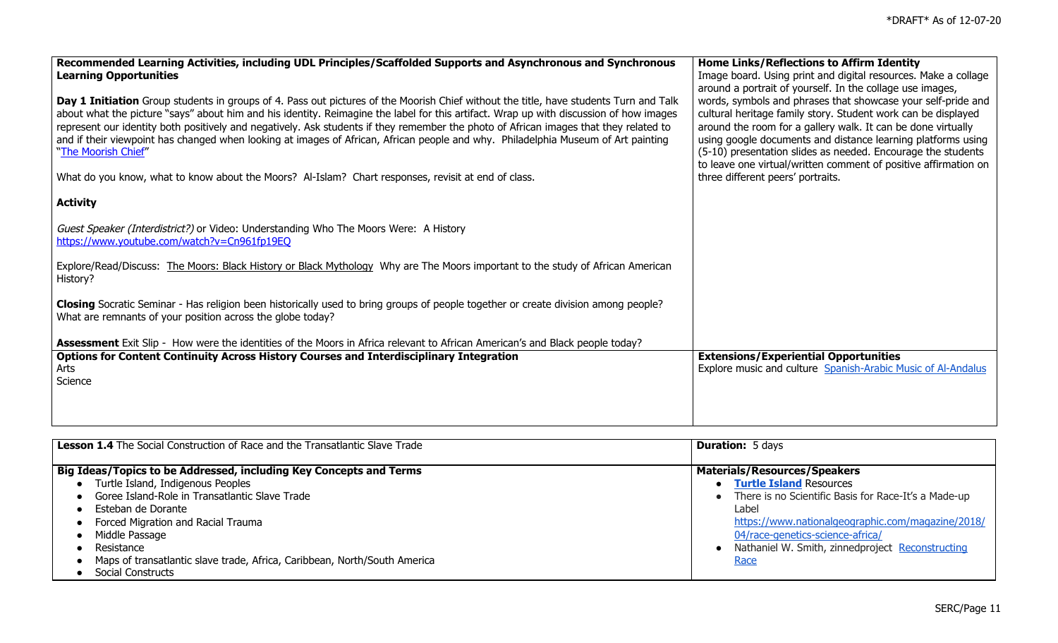| Recommended Learning Activities, including UDL Principles/Scaffolded Supports and Asynchronous and Synchronous<br><b>Learning Opportunities</b>                                                                                                                                                                                                                                                                                                                                                                                                                                                                                                                                             | Home Links/Reflections to Affirm Identity<br>Image board. Using print and digital resources. Make a collage<br>around a portrait of yourself. In the collage use images,                                                                                                                                                                                                                                                              |
|---------------------------------------------------------------------------------------------------------------------------------------------------------------------------------------------------------------------------------------------------------------------------------------------------------------------------------------------------------------------------------------------------------------------------------------------------------------------------------------------------------------------------------------------------------------------------------------------------------------------------------------------------------------------------------------------|---------------------------------------------------------------------------------------------------------------------------------------------------------------------------------------------------------------------------------------------------------------------------------------------------------------------------------------------------------------------------------------------------------------------------------------|
| Day 1 Initiation Group students in groups of 4. Pass out pictures of the Moorish Chief without the title, have students Turn and Talk<br>about what the picture "says" about him and his identity. Reimagine the label for this artifact. Wrap up with discussion of how images<br>represent our identity both positively and negatively. Ask students if they remember the photo of African images that they related to<br>and if their viewpoint has changed when looking at images of African, African people and why. Philadelphia Museum of Art painting<br>"The Moorish Chief"<br>What do you know, what to know about the Moors? Al-Islam? Chart responses, revisit at end of class. | words, symbols and phrases that showcase your self-pride and<br>cultural heritage family story. Student work can be displayed<br>around the room for a gallery walk. It can be done virtually<br>using google documents and distance learning platforms using<br>(5-10) presentation slides as needed. Encourage the students<br>to leave one virtual/written comment of positive affirmation on<br>three different peers' portraits. |
|                                                                                                                                                                                                                                                                                                                                                                                                                                                                                                                                                                                                                                                                                             |                                                                                                                                                                                                                                                                                                                                                                                                                                       |
| <b>Activity</b>                                                                                                                                                                                                                                                                                                                                                                                                                                                                                                                                                                                                                                                                             |                                                                                                                                                                                                                                                                                                                                                                                                                                       |
| Guest Speaker (Interdistrict?) or Video: Understanding Who The Moors Were: A History<br>https://www.youtube.com/watch?v=Cn961fp19EQ                                                                                                                                                                                                                                                                                                                                                                                                                                                                                                                                                         |                                                                                                                                                                                                                                                                                                                                                                                                                                       |
| Explore/Read/Discuss: The Moors: Black History or Black Mythology Why are The Moors important to the study of African American<br>History?                                                                                                                                                                                                                                                                                                                                                                                                                                                                                                                                                  |                                                                                                                                                                                                                                                                                                                                                                                                                                       |
| Closing Socratic Seminar - Has religion been historically used to bring groups of people together or create division among people?<br>What are remnants of your position across the globe today?                                                                                                                                                                                                                                                                                                                                                                                                                                                                                            |                                                                                                                                                                                                                                                                                                                                                                                                                                       |
| Assessment Exit Slip - How were the identities of the Moors in Africa relevant to African American's and Black people today?                                                                                                                                                                                                                                                                                                                                                                                                                                                                                                                                                                |                                                                                                                                                                                                                                                                                                                                                                                                                                       |
| Options for Content Continuity Across History Courses and Interdisciplinary Integration<br>Arts<br>Science                                                                                                                                                                                                                                                                                                                                                                                                                                                                                                                                                                                  | <b>Extensions/Experiential Opportunities</b><br>Explore music and culture Spanish-Arabic Music of Al-Andalus                                                                                                                                                                                                                                                                                                                          |
|                                                                                                                                                                                                                                                                                                                                                                                                                                                                                                                                                                                                                                                                                             |                                                                                                                                                                                                                                                                                                                                                                                                                                       |

| <b>Lesson 1.4</b> The Social Construction of Race and the Transatlantic Slave Trade | <b>Duration: 5 days</b>                                |
|-------------------------------------------------------------------------------------|--------------------------------------------------------|
| Big Ideas/Topics to be Addressed, including Key Concepts and Terms                  | <b>Materials/Resources/Speakers</b>                    |
| Turtle Island, Indigenous Peoples                                                   | • Turtle Island Resources                              |
| Goree Island-Role in Transatlantic Slave Trade                                      | • There is no Scientific Basis for Race-It's a Made-up |
| Esteban de Dorante                                                                  | Label                                                  |
| Forced Migration and Racial Trauma                                                  | https://www.nationalgeographic.com/magazine/2018/      |
| Middle Passage                                                                      | 04/race-genetics-science-africa/                       |
| Resistance                                                                          | Nathaniel W. Smith, zinnedproject Reconstructing       |
| Maps of transatlantic slave trade, Africa, Caribbean, North/South America           | Race                                                   |
| Social Constructs                                                                   |                                                        |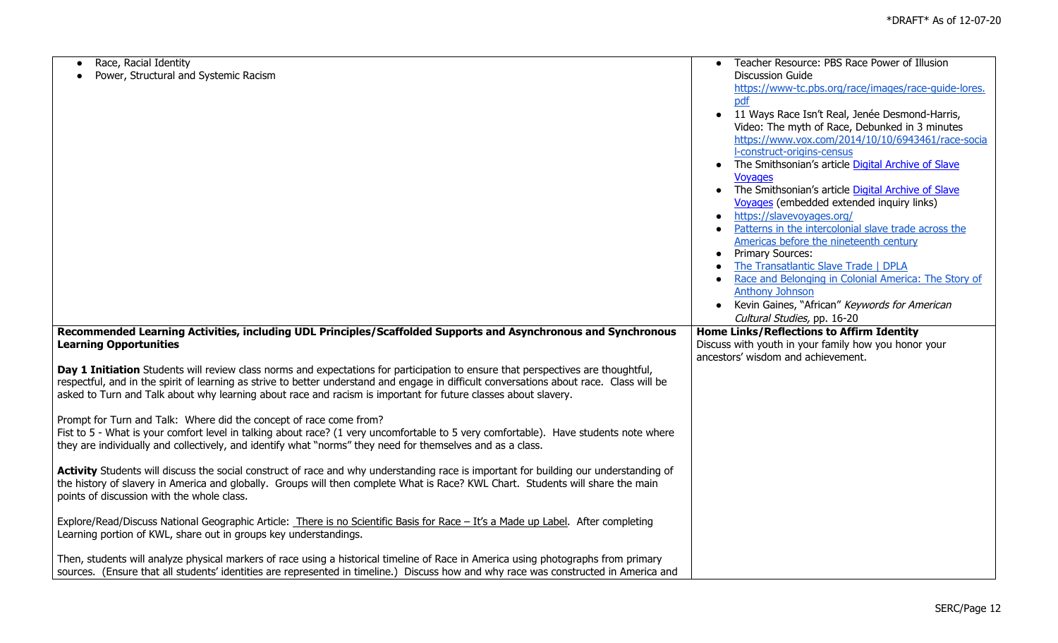| Race, Racial Identity                                                                                                                    | Teacher Resource: PBS Race Power of Illusion                    |
|------------------------------------------------------------------------------------------------------------------------------------------|-----------------------------------------------------------------|
| Power, Structural and Systemic Racism                                                                                                    | <b>Discussion Guide</b>                                         |
|                                                                                                                                          | https://www-tc.pbs.org/race/images/race-quide-lores.            |
|                                                                                                                                          | pdf                                                             |
|                                                                                                                                          | • 11 Ways Race Isn't Real, Jenée Desmond-Harris,                |
|                                                                                                                                          | Video: The myth of Race, Debunked in 3 minutes                  |
|                                                                                                                                          | https://www.vox.com/2014/10/10/6943461/race-socia               |
|                                                                                                                                          | l-construct-origins-census                                      |
|                                                                                                                                          | The Smithsonian's article Digital Archive of Slave<br>$\bullet$ |
|                                                                                                                                          | <b>Vovages</b>                                                  |
|                                                                                                                                          | The Smithsonian's article Digital Archive of Slave<br>$\bullet$ |
|                                                                                                                                          | Voyages (embedded extended inquiry links)                       |
|                                                                                                                                          | https://slavevoyages.org/                                       |
|                                                                                                                                          | Patterns in the intercolonial slave trade across the            |
|                                                                                                                                          | Americas before the nineteenth century                          |
|                                                                                                                                          | • Primary Sources:                                              |
|                                                                                                                                          | The Transatlantic Slave Trade   DPLA                            |
|                                                                                                                                          | Race and Belonging in Colonial America: The Story of            |
|                                                                                                                                          | <b>Anthony Johnson</b>                                          |
|                                                                                                                                          | Kevin Gaines, "African" Keywords for American                   |
|                                                                                                                                          | Cultural Studies, pp. 16-20                                     |
| Recommended Learning Activities, including UDL Principles/Scaffolded Supports and Asynchronous and Synchronous                           | Home Links/Reflections to Affirm Identity                       |
| <b>Learning Opportunities</b>                                                                                                            | Discuss with youth in your family how you honor your            |
|                                                                                                                                          | ancestors' wisdom and achievement.                              |
| Day 1 Initiation Students will review class norms and expectations for participation to ensure that perspectives are thoughtful,         |                                                                 |
| respectful, and in the spirit of learning as strive to better understand and engage in difficult conversations about race. Class will be |                                                                 |
| asked to Turn and Talk about why learning about race and racism is important for future classes about slavery.                           |                                                                 |
|                                                                                                                                          |                                                                 |
| Prompt for Turn and Talk: Where did the concept of race come from?                                                                       |                                                                 |
| Fist to 5 - What is your comfort level in talking about race? (1 very uncomfortable to 5 very comfortable). Have students note where     |                                                                 |
| they are individually and collectively, and identify what "norms" they need for themselves and as a class.                               |                                                                 |
|                                                                                                                                          |                                                                 |
| Activity Students will discuss the social construct of race and why understanding race is important for building our understanding of    |                                                                 |
| the history of slavery in America and globally. Groups will then complete What is Race? KWL Chart. Students will share the main          |                                                                 |
| points of discussion with the whole class.                                                                                               |                                                                 |
|                                                                                                                                          |                                                                 |
| Explore/Read/Discuss National Geographic Article: There is no Scientific Basis for Race - It's a Made up Label. After completing         |                                                                 |
| Learning portion of KWL, share out in groups key understandings.                                                                         |                                                                 |
|                                                                                                                                          |                                                                 |
| Then, students will analyze physical markers of race using a historical timeline of Race in America using photographs from primary       |                                                                 |
| sources. (Ensure that all students' identities are represented in timeline.) Discuss how and why race was constructed in America and     |                                                                 |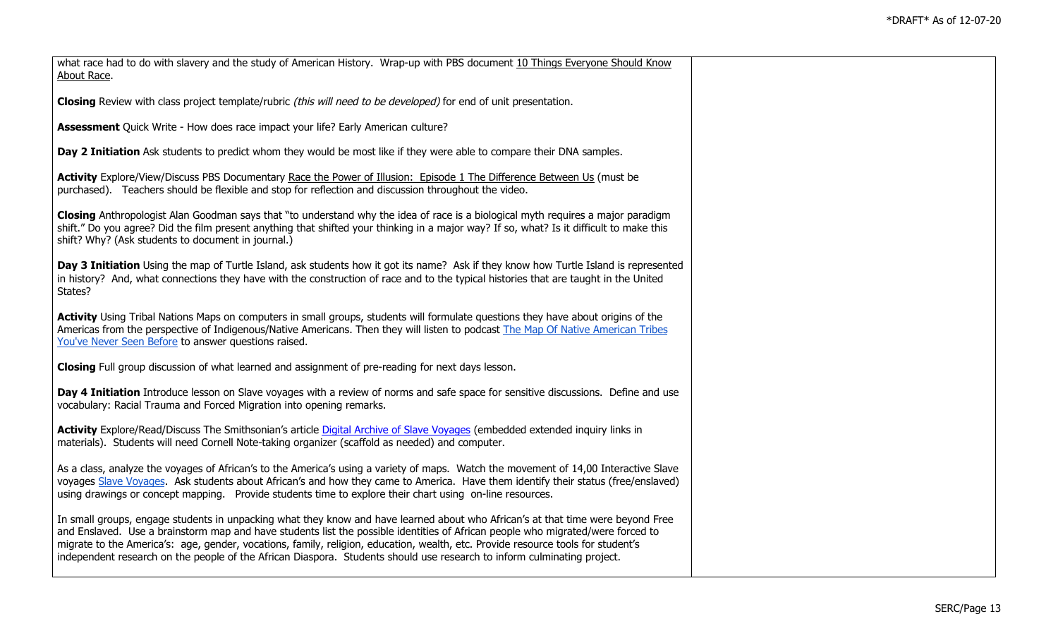| what race had to do with slavery and the study of American History. Wrap-up with PBS document 10 Things Everyone Should Know<br>About Race.                                                                                                                                                                                                                                                                                                                                                                                       |  |
|-----------------------------------------------------------------------------------------------------------------------------------------------------------------------------------------------------------------------------------------------------------------------------------------------------------------------------------------------------------------------------------------------------------------------------------------------------------------------------------------------------------------------------------|--|
| Closing Review with class project template/rubric (this will need to be developed) for end of unit presentation.                                                                                                                                                                                                                                                                                                                                                                                                                  |  |
| <b>Assessment</b> Quick Write - How does race impact your life? Early American culture?                                                                                                                                                                                                                                                                                                                                                                                                                                           |  |
| Day 2 Initiation Ask students to predict whom they would be most like if they were able to compare their DNA samples.                                                                                                                                                                                                                                                                                                                                                                                                             |  |
| Activity Explore/View/Discuss PBS Documentary Race the Power of Illusion: Episode 1 The Difference Between Us (must be<br>purchased). Teachers should be flexible and stop for reflection and discussion throughout the video.                                                                                                                                                                                                                                                                                                    |  |
| Closing Anthropologist Alan Goodman says that "to understand why the idea of race is a biological myth requires a major paradigm<br>shift." Do you agree? Did the film present anything that shifted your thinking in a major way? If so, what? Is it difficult to make this<br>shift? Why? (Ask students to document in journal.)                                                                                                                                                                                                |  |
| Day 3 Initiation Using the map of Turtle Island, ask students how it got its name? Ask if they know how Turtle Island is represented<br>in history? And, what connections they have with the construction of race and to the typical histories that are taught in the United<br>States?                                                                                                                                                                                                                                           |  |
| Activity Using Tribal Nations Maps on computers in small groups, students will formulate questions they have about origins of the<br>Americas from the perspective of Indigenous/Native Americans. Then they will listen to podcast The Map Of Native American Tribes<br>You've Never Seen Before to answer questions raised.                                                                                                                                                                                                     |  |
| Closing Full group discussion of what learned and assignment of pre-reading for next days lesson.                                                                                                                                                                                                                                                                                                                                                                                                                                 |  |
| Day 4 Initiation Introduce lesson on Slave voyages with a review of norms and safe space for sensitive discussions. Define and use<br>vocabulary: Racial Trauma and Forced Migration into opening remarks.                                                                                                                                                                                                                                                                                                                        |  |
| Activity Explore/Read/Discuss The Smithsonian's article Digital Archive of Slave Voyages (embedded extended inquiry links in<br>materials). Students will need Cornell Note-taking organizer (scaffold as needed) and computer.                                                                                                                                                                                                                                                                                                   |  |
| As a class, analyze the voyages of African's to the America's using a variety of maps. Watch the movement of 14,00 Interactive Slave<br>voyages Slave Voyages. Ask students about African's and how they came to America. Have them identify their status (free/enslaved)<br>using drawings or concept mapping. Provide students time to explore their chart using on-line resources.                                                                                                                                             |  |
| In small groups, engage students in unpacking what they know and have learned about who African's at that time were beyond Free<br>and Enslaved. Use a brainstorm map and have students list the possible identities of African people who migrated/were forced to<br>migrate to the America's: age, gender, vocations, family, religion, education, wealth, etc. Provide resource tools for student's<br>independent research on the people of the African Diaspora. Students should use research to inform culminating project. |  |